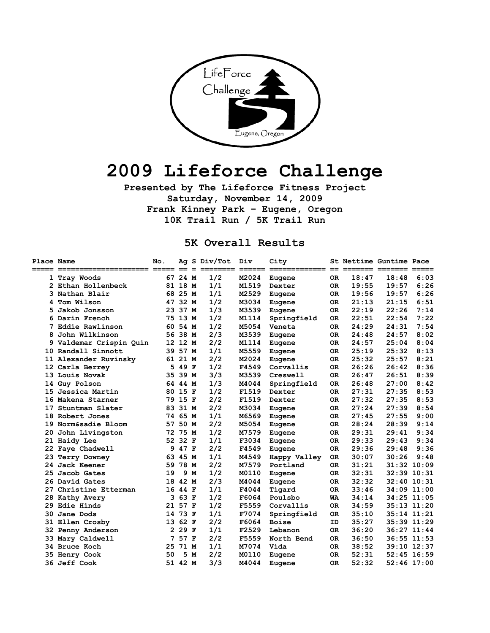

# **2009 Lifeforce Challenge**

**Presented by The Lifeforce Fitness Project Saturday, November 14, 2009 Frank Kinney Park – Eugene, Oregon 10K Trail Run / 5K Trail Run** 

#### **5K Overall Results**

| Place Name          |                            | No. |         |     | Ag S Div/Tot | Div   | City           |           | St Nettime Guntime Pace |                                         |               |
|---------------------|----------------------------|-----|---------|-----|--------------|-------|----------------|-----------|-------------------------|-----------------------------------------|---------------|
| $=$ $=$ $=$ $=$ $=$ | ========================== |     | $=$     | $=$ | =====        |       | ============== |           |                         | $=$ $=$ $=$ $=$ $=$ $=$ $=$ $=$ $=$ $=$ | $==$          |
| 1                   | Tray Woods                 |     | 67 24 M |     | 1/2          | M2024 | Eugene         | 0R        | 18:47                   | 18:48                                   | 6:03          |
|                     | 2 Ethan Hollenbeck         |     | 81 18 M |     | 1/1          | M1519 | Dexter         | 0R        | 19:55                   | 19:57                                   | 6:26          |
| 3                   | Nathan Blair               |     | 68 25 M |     | 1/1          | M2529 | Eugene         | 0R        | 19:56                   | 19:57                                   | 6:26          |
|                     | Tom Wilson                 |     | 47 32 M |     | 1/2          | M3034 | Eugene         | 0R        | 21:13                   | 21:15                                   | 6:51          |
| 5                   | Jakob Jonsson              |     | 23 37 M |     | 1/3          | M3539 | Eugene         | 0R        | 22:19                   | 22:26                                   | 7:14          |
| 6                   | Darin French               |     | 75 13 M |     | 1/2          | M1114 | Springfield    | 0R        | 22:51                   | 22:54                                   | 7:22          |
| 7                   | Eddie Rawlinson            |     | 60 54 M |     | 1/2          | M5054 | Veneta         | 0R        | 24:29                   | 24:31                                   | 7:54          |
| 8                   | John Wilkinson             |     | 56 38 M |     | 2/3          | M3539 | Eugene         | 0R        | 24:48                   | 24:57                                   | 8:02          |
| 9                   | Valdemar Crispin Quin      |     | 12 12 M |     | 2/2          | M1114 | Eugene         | 0R        | 24:57                   | 25:04                                   | 8:04          |
| 10                  | Randall Sinnott            |     | 39 57 M |     | 1/1          | M5559 | Eugene         | 0R        | 25:19                   | 25:32                                   | 8:13          |
|                     | 11 Alexander Ruvinsky      |     | 61 21 M |     | 2/2          | M2024 | Eugene         | 0R        | 25:32                   | 25:57                                   | 8:21          |
|                     | 12 Carla Berrey            | 5   | 49 F    |     | 1/2          | F4549 | Corvallis      | 0R        | 26:26                   | 26:42                                   | 8:36          |
| 13.                 | Louis Novak                |     | 35 39 M |     | 3/3          | M3539 | Creswell       | <b>OR</b> | 26:47                   | 26:51                                   | 8:39          |
| 14                  | Guy Polson                 | 64. | 44 M    |     | 1/3          | M4044 | Springfield    | 0R        | 26:48                   | 27:00                                   | 8:42          |
| 15                  | Jessica Martin             | 80  | 15 F    |     | 1/2          | F1519 | Dexter         | 0R        | 27:31                   | 27:35                                   | 8:53          |
| 16                  | Makena Starner             | 79  | 15 F    |     | 2/2          | F1519 | Dexter         | 0R        | 27:32                   | 27:35                                   | 8:53          |
| 17                  | Stuntman Slater            | 83  | 31 M    |     | 2/2          | M3034 | Eugene         | <b>OR</b> | 27:24                   | 27:39                                   | 8:54          |
| 18                  | Robert Jones               | 74. | 65 M    |     | 1/1          | M6569 | Eugene         | OR.       | 27:45                   | 27:55                                   | 9:00          |
| 19                  | Norm&sadie Bloom           | 57  | 50 M    |     | 2/2          | M5054 | Eugene         | <b>OR</b> | 28:24                   | 28:39                                   | 9:14          |
| 20                  | John Livingston            | 72  | 75 M    |     | 1/2          | M7579 | Eugene         | 0R        | 29:31                   | 29:41                                   | 9:34          |
| 21.                 | Haidy Lee                  |     | 52 32 F |     | 1/1          | F3034 | Eugene         | 0R        | 29:33                   | 29:43                                   | 9:34          |
| 22.                 | Faye Chadwell              | 9   | 47 F    |     | 2/2          | F4549 | Eugene         | <b>OR</b> | 29:36                   | 29:48                                   | 9:36          |
| 23.                 | Terry Downey               | 63  | 45 M    |     | 1/1          | M4549 | Happy Valley   | 0R        | 30:07                   | 30:26                                   | 9:48          |
| 24                  | Jack Keener                | 59  | 78 M    |     | 2/2          | M7579 | Portland       | 0R        | 31:21                   |                                         | 31:32 10:09   |
| 25                  | Jacob Gates                | 19  |         | 9 M | 1/2          | M0110 | Eugene         | 0R        | 32:31                   |                                         | 32:39 10:31   |
| 26                  | David Gates                | 18  | 42 M    |     | 2/3          | M4044 | Eugene         | 0R        | 32:32                   |                                         | 32:40 10:31   |
| 27                  | Christine Etterman         | 16  | 44 F    |     | 1/1          | F4044 | Tigard         | <b>OR</b> | 33:46                   |                                         | 34:09 11:00   |
| 28                  | Kathy Avery                | 3   | 63 F    |     | 1/2          | F6064 | Poulsbo        | <b>WA</b> | 34:14                   |                                         | 34:25 11:05   |
| 29                  | Edie Hinds                 | 21  | 57 F    |     | 1/2          | F5559 | Corvallis      | <b>OR</b> | 34:59                   |                                         | 35:13 11:20   |
| 30                  | Jane Dods                  | 14  | 73 F    |     | 1/1          | F7074 | Springfield    | <b>OR</b> | 35:10                   |                                         | 35:14 11:21   |
|                     | 31 Ellen Crosby            | 13  | 62 F    |     | 2/2          | F6064 | <b>Boise</b>   | ID        | 35:27                   |                                         | 35:39 11:29   |
|                     | 32 Penny Anderson          | 2   | 29 F    |     | 1/1          | F2529 | Lebanon        | <b>OR</b> | 36:20                   |                                         | 36:27 11:44   |
| 33                  | Mary Caldwell              | 7   | 57 F    |     | 2/2          | F5559 | North Bend     | 0R        | 36:50                   |                                         | 36:55 11:53   |
| 34                  | Bruce Koch                 | 25  | 71 M    |     | 1/1          | M7074 | Vida           | 0R        | 38:52                   |                                         | 39:10 12:37   |
| 35                  | Henry Cook                 | 50  |         | 5 M | 2/2          | M0110 | Eugene         | 0R        | 52:31                   |                                         | $52:45$ 16:59 |
|                     | 36 Jeff Cook               |     | 51 42 M |     | 3/3          | M4044 | Eugene         | 0R        | 52:32                   |                                         | $52:46$ 17:00 |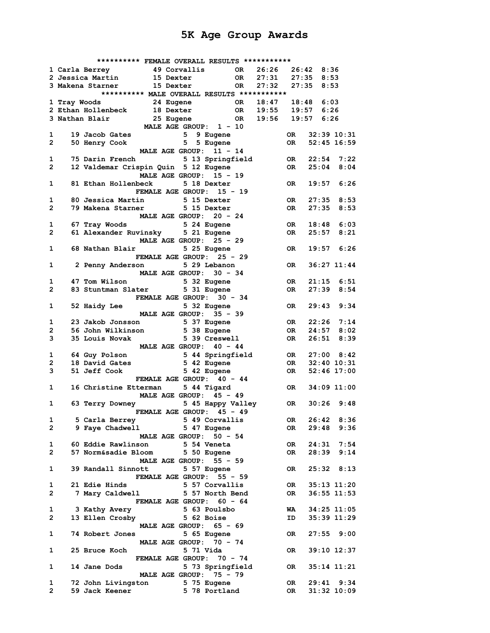|                       |                                                               | ********** FEMALE OVERALL RESULTS *********** |                     |                     |           |                 |      |
|-----------------------|---------------------------------------------------------------|-----------------------------------------------|---------------------|---------------------|-----------|-----------------|------|
|                       | 1 Carla Berrey 49 Corvallis OR                                |                                               |                     | 26:26               |           | 26:42 8:36      |      |
|                       | 2 Jessica Martin                                              | <b>15 Dexter</b>                              |                     | OR 27:31 27:35 8:53 |           |                 |      |
|                       | 3 Makena Starner                                              | <b>15 Dexter</b>                              | OR 27:32 27:35 8:53 |                     |           |                 |      |
|                       |                                                               | ********** MALE OVERALL RESULTS ***********   |                     |                     |           |                 |      |
|                       | 1 Tray Woods                                                  |                                               |                     |                     |           |                 |      |
|                       | 2 Ethan Hollenbeck                                            | -<br>18 Dexter                                |                     |                     |           |                 |      |
|                       | 3 Nathan Blair                                                | 25 Eugene OR 19:56                            |                     |                     |           | $19:57$ 6:26    |      |
|                       |                                                               | MALE AGE GROUP: 1 - 10                        |                     |                     |           |                 |      |
| $\mathbf{1}$          | 19 Jacob Gates                                                |                                               | 5 9 Eugene          |                     | OR DR     | $32:39$ $10:31$ |      |
| $\mathbf{2}$          | 50 Henry Cook 5 5 Eugene                                      |                                               |                     |                     | <b>OR</b> | $52:45$ 16:59   |      |
|                       |                                                               | MALE AGE GROUP: 11 - 14                       |                     |                     |           |                 |      |
| $\mathbf{1}$          | 75 Darin French                                               |                                               | 5 13 Springfield    |                     |           | OR 22:54 7:22   |      |
| $\mathbf{2}$          | 12 Valdemar Crispin Quin 5 12 Eugene                          |                                               |                     |                     | <b>OR</b> | 25:04           | 8:04 |
|                       |                                                               | MALE AGE GROUP: 15 - 19                       |                     |                     |           |                 |      |
| $\mathbf{1}$          | 81 Ethan Hollenbeck                                           |                                               | 5 18 Dexter         |                     | OR        | $19:57$ 6:26    |      |
|                       |                                                               | FEMALE AGE GROUP: 15 - 19                     |                     |                     |           |                 |      |
| 1                     | 80 Jessica Martin                                             |                                               | 5 15 Dexter         |                     | OR DR     | 27:35           | 8:53 |
| $\mathbf{2}^{\prime}$ | 79 Makena Starner 5 15 Dexter                                 |                                               |                     |                     | OR DR     | 27:35           | 8:53 |
|                       |                                                               | MALE AGE GROUP: 20 - 24                       |                     |                     |           |                 |      |
|                       |                                                               |                                               |                     |                     |           |                 |      |
| $\mathbf{1}$          | 67 Tray Woods 5 24 Eugene                                     |                                               |                     |                     | OR        | $18:48$ 6:03    |      |
| $2 \rightarrow$       | 61 Alexander Ruvinsky 5 21 Eugene                             |                                               |                     |                     | OR        | 25:57           | 8:21 |
|                       |                                                               | MALE AGE GROUP: 25 - 29                       |                     |                     |           |                 |      |
|                       | 1 68 Nathan Blair                                             |                                               | 5 25 Eugene         |                     | OR DR     | $19:57$ $6:26$  |      |
|                       |                                                               | FEMALE AGE GROUP: 25 - 29                     |                     |                     |           |                 |      |
| $\mathbf{1}$          | 2 Penny Anderson                                              |                                               | 5 29 Lebanon        |                     | OR        | $36:27$ 11:44   |      |
|                       |                                                               | MALE AGE GROUP: 30 - 34                       |                     |                     |           |                 |      |
| 1                     | 47 Tom Wilson                                                 |                                               | 5 32 Eugene         |                     | OR DR     | $21:15$ 6:51    |      |
| $\mathbf{2}^{\circ}$  | 83 Stuntman Slater 5 31 Eugene                                |                                               |                     |                     | <b>OR</b> | $27:39$ $8:54$  |      |
|                       |                                                               | FEMALE AGE GROUP: 30 - 34                     |                     |                     |           |                 |      |
| 1                     | 52 Haidy Lee                                                  |                                               | 5 32 Eugene         |                     | OR DR     | $29:43$ $9:34$  |      |
|                       |                                                               | MALE AGE GROUP: 35 - 39                       |                     |                     |           |                 |      |
| 1                     |                                                               |                                               |                     |                     |           | OR 22:26 7:14   |      |
| $\overline{2}$        | 23 Jakob Jonsson 5 37 Eugene<br>56 John Wilkinson 5 38 Eugene |                                               |                     |                     |           | OR 24:57 8:02   |      |
|                       |                                                               |                                               |                     |                     |           |                 |      |
| 3                     | 35 Louis Novak                                                |                                               | 5 39 Creswell       |                     | OR DR     | 26:51           | 8:39 |
|                       |                                                               | MALE AGE GROUP: 40 - 44                       |                     |                     |           |                 |      |
| 1                     | 64 Guy Polson                                                 |                                               | 5 44 Springfield    |                     | OR DR     | $27:00$ 8:42    |      |
| $\mathbf{2}$          | 18 David Gates 5 42 Eugene                                    |                                               |                     |                     | <b>OR</b> | $32:40$ 10:31   |      |
| 3                     | 51 Jeff Cook                                                  |                                               | 5 42 Eugene         |                     | OR        | $52:46$ 17:00   |      |
|                       |                                                               | FEMALE AGE GROUP: 40 - 44                     |                     |                     |           |                 |      |
| $\mathbf{1}$          | 16 Christine Etterman 5 44 Tigard                             |                                               |                     |                     | OR        | 34:09 11:00     |      |
|                       |                                                               | MALE AGE GROUP: 45 - 49                       |                     |                     |           |                 |      |
| $\mathbf{1}$          | 63 Terry Downey 5 45 Happy Valley OR                          |                                               |                     |                     |           | $30:26$ 9:48    |      |
|                       |                                                               | FEMALE AGE GROUP: 45 - 49                     |                     |                     |           |                 |      |
| 1                     | 5 Carla Berrey                                                | 5 49 Corvallis                                |                     |                     | OR        | 26:42 8:36      |      |
| $\mathbf{2}$          | 9 Faye Chadwell                                               |                                               | 5 47 Eugene         |                     | OR.       | 29:48           | 9:36 |
|                       |                                                               | MALE AGE GROUP: 50 - 54                       |                     |                     |           |                 |      |
| 1                     | 60 Eddie Rawlinson                                            |                                               | 5 54 Veneta         |                     | OR.       | 24:31           | 7:54 |
| $\mathbf{2}$          | 57 Norm&sadie Bloom 5 50 Eugene                               |                                               |                     |                     | OR.       | 28:39           | 9:14 |
|                       |                                                               | MALE AGE GROUP: 55 - 59                       |                     |                     |           |                 |      |
|                       |                                                               |                                               |                     |                     |           |                 |      |
| 1                     | 39 Randall Sinnott                                            |                                               | 5 57 Eugene         |                     | OR.       | $25:32$ $8:13$  |      |
|                       |                                                               | FEMALE AGE GROUP: 55 - 59                     |                     |                     |           |                 |      |
| 1                     | 21 Edie Hinds                                                 |                                               | 5 57 Corvallis      |                     | OR        | 35:13 11:20     |      |
| $\overline{2}$        | 7 Mary Caldwell                                               |                                               | 5 57 North Bend     |                     | OR        | $36:55$ $11:53$ |      |
|                       |                                                               | FEMALE AGE GROUP: 60 - 64                     |                     |                     |           |                 |      |
| 1                     | 3 Kathy Avery                                                 |                                               | 5 63 Poulsbo        |                     | WA        | 34:25 11:05     |      |
| 2                     | 13 Ellen Crosby                                               |                                               | 5 62 Boise          |                     | ID        | 35:39 11:29     |      |
|                       |                                                               | MALE AGE GROUP: 65 - 69                       |                     |                     |           |                 |      |
| 1                     | 74 Robert Jones                                               |                                               | 5 65 Eugene         |                     | OR.       | $27:55$ $9:00$  |      |
|                       |                                                               | MALE AGE GROUP: 70 - 74                       |                     |                     |           |                 |      |
| 1                     | 25 Bruce Koch                                                 |                                               | 5 71 Vida           |                     | OR.       | 39:10 12:37     |      |
|                       |                                                               | FEMALE AGE GROUP: 70 - 74                     |                     |                     |           |                 |      |
| 1                     | 14 Jane Dods                                                  |                                               | 5 73 Springfield    |                     | OR        | $35:14$ $11:21$ |      |
|                       |                                                               | MALE AGE GROUP: 75 - 79                       |                     |                     |           |                 |      |
|                       |                                                               |                                               |                     |                     |           |                 |      |
| 1                     | 72 John Livingston 5 75 Eugene                                |                                               |                     |                     | OR.       | $29:41$ $9:34$  |      |
| 2                     | 59 Jack Keener                                                |                                               | 5 78 Portland       |                     | OR        | $31:32$ $10:09$ |      |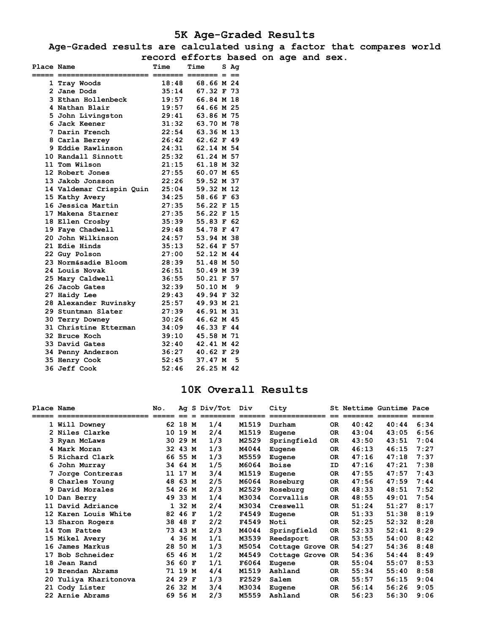### **5K Age-Graded Results**

**Age-Graded results are calculated using a factor that compares world record efforts based on age and sex.** 

| Place Name  |                          | Time                       | Time       | S Aq |
|-------------|--------------------------|----------------------------|------------|------|
| =====  ==== |                          | ===== ======= ======= = == |            |      |
|             | 1 Tray Woods             | 18:48                      | 68.66 M 24 |      |
|             | 2 Jane Dods              | 35:14                      | 67.32 F 73 |      |
|             | 3 Ethan Hollenbeck       | 19:57                      | 66.84 M 18 |      |
|             | 4 Nathan Blair           | 19:57                      | 64.66 M 25 |      |
|             | 5 John Livingston        | 29:41                      | 63.86 M 75 |      |
|             | 6 Jack Keener            | 31:32                      | 63.70 M 78 |      |
|             | 7 Darin French           | 22:54                      | 63.36 M 13 |      |
|             | 8 Carla Berrey           | 26:42                      | 62.62 F 49 |      |
|             | 9 Eddie Rawlinson        | 24:31                      | 62.14 M 54 |      |
|             | 10 Randall Sinnott       | 25:32                      | 61.24 M 57 |      |
|             | 11 Tom Wilson            | 21:15                      | 61.18 M 32 |      |
|             | 12 Robert Jones          | 27:55                      | 60.07 M 65 |      |
|             | 13 Jakob Jonsson         | 22:26                      | 59.52 M 37 |      |
|             | 14 Valdemar Crispin Quin | 25:04                      | 59.32 M 12 |      |
|             | 15 Kathy Avery           | 34:25                      | 58.66 F 63 |      |
|             | 16 Jessica Martin        | 27:35                      | 56.22 F 15 |      |
|             | 17 Makena Starner        | 27:35                      | 56.22 F 15 |      |
|             | 18 Ellen Crosby          | 35:39                      | 55.83 F 62 |      |
|             | 19 Faye Chadwell         | 29:48                      | 54.78 F 47 |      |
|             | 20 John Wilkinson        | 24:57                      | 53.94 M 38 |      |
|             | 21 Edie Hinds            | 35:13                      | 52.64 F 57 |      |
|             | 22 Guy Polson            | 27:00                      | 52.12 M 44 |      |
|             | 23 Norm&sadie Bloom      | 28:39                      | 51.48 M 50 |      |
|             | 24 Louis Novak           | 26:51                      | 50.49 M 39 |      |
|             | 25 Mary Caldwell         | 36:55                      | 50.21 F 57 |      |
|             | 26 Jacob Gates           | 32:39                      | 50.10 M 9  |      |
|             | 27 Haidy Lee             | 29:43                      | 49.94 F 32 |      |
|             | 28 Alexander Ruvinsky    | 25:57                      | 49.93 M 21 |      |
|             | 29 Stuntman Slater       | 27:39                      | 46.91 M 31 |      |
|             | 30 Terry Downey          | 30:26                      | 46.62 M 45 |      |
|             | 31 Christine Etterman    | 34:09                      | 46.33 F 44 |      |
|             | 32 Bruce Koch            | 39:10                      | 45.58 M 71 |      |
|             | 33 David Gates           | 32:40                      | 42.41 M 42 |      |
|             | 34 Penny Anderson        | 36:27                      | 40.62 F 29 |      |
|             | 35 Henry Cook            | 52:45                      | 37.47 M 5  |      |
|             | 36 Jeff Cook             | 52:46                      | 26.25 M 42 |      |

### **10K Overall Results**

| Place Name |                      | No. | Aq      | S Div/Tot | Div    | City             |           |       | St Nettime Guntime Pace |      |
|------------|----------------------|-----|---------|-----------|--------|------------------|-----------|-------|-------------------------|------|
|            | ===================  |     |         |           | ====== | =============    |           |       |                         |      |
|            | 1 Will Downey        |     | 62 18 M | 1/4       | M1519  | Durham           | <b>OR</b> | 40:42 | 40:44                   | 6:34 |
|            | 2 Niles Clarke       | 10  | 19 M    | 2/4       | M1519  | Eugene           | <b>OR</b> | 43:04 | 43:05                   | 6:56 |
|            | 3 Ryan McLaws        | 30. | 29 M    | 1/3       | M2529  | Springfield      | <b>OR</b> | 43:50 | 43:51                   | 7:04 |
|            | 4 Mark Moran         | 32  | 43 M    | 1/3       | M4044  | Eugene           | <b>OR</b> | 46:13 | 46:15                   | 7:27 |
|            | 5 Richard Clark      |     | 66 55 M | 1/3       | M5559  | Eugene           | <b>OR</b> | 47:16 | 47:18                   | 7:37 |
|            | 6 John Murray        |     | 34 64 M | 1/5       | M6064  | <b>Boise</b>     | ID        | 47:16 | 47:21                   | 7:38 |
|            | 7 Jorge Contreras    |     | 11 17 M | 3/4       | M1519  | Eugene           | 0R        | 47:55 | 47:57                   | 7:43 |
|            | 8 Charles Young      |     | 48 63 M | 2/5       | M6064  | Roseburg         | <b>OR</b> | 47:56 | 47:59                   | 7:44 |
|            | 9 David Morales      | 54  | 26 M    | 2/3       | M2529  | Roseburg         | OR.       | 48:33 | 48:51                   | 7:52 |
| 10         | Dan Berry            | 49  | 33 M    | 1/4       | M3034  | Corvallis        | <b>OR</b> | 48:55 | 49:01                   | 7:54 |
| 11         | David Adriance       |     | 1 32 M  | 2/4       | M3034  | Creswell         | <b>OR</b> | 51:24 | 51:27                   | 8:17 |
|            | 12 Karen Louis White | 82  | 46 F    | 1/2       | F4549  | Eugene           | OR.       | 51:33 | 51:38                   | 8:19 |
|            | 13 Sharon Rogers     | 38  | 48 F    | 2/2       | F4549  | Noti             | <b>OR</b> | 52:25 | 52:32                   | 8:28 |
| 14         | Tom Pattee           | 73  | 43 M    | 2/3       | M4044  | Springfield      | <b>OR</b> | 52:33 | 52:41                   | 8:29 |
|            | 15 Mikel Avery       |     | 4 36 M  | 1/1       | M3539  | Reedsport        | 0R        | 53:55 | 54:00                   | 8:42 |
| 16         | James Markus         | 28  | 50 M    | 1/3       | M5054  | Cottage Grove    | OR        | 54:27 | 54:36                   | 8:48 |
| 17         | Bob Schneider        | 65  | 46 M    | 1/2       | M4549  | Cottage Grove OR |           | 54:36 | 54:44                   | 8:49 |
| 18         | Jean Rand            | 36  | 60 F    | 1/1       | F6064  | Eugene           | <b>OR</b> | 55:04 | 55:07                   | 8:53 |
| 19         | Brendan Abrams       | 71  | 19 M    | 4/4       | M1519  | Ashland          | <b>OR</b> | 55:34 | 55:40                   | 8:58 |
| 20.        | Yuliya Kharitonova   |     | 24 29 F | 1/3       | F2529  | Salem            | <b>OR</b> | 55:57 | 56:15                   | 9:04 |
|            | 21 Cody Lister       | 26  | 32 M    | 3/4       | M3034  | Eugene           | 0R        | 56:14 | 56:26                   | 9:05 |
|            | 22 Arnie Abrams      | 69  | 56 M    | 2/3       | M5559  | Ashland          | 0R        | 56:23 | 56:30                   | 9:06 |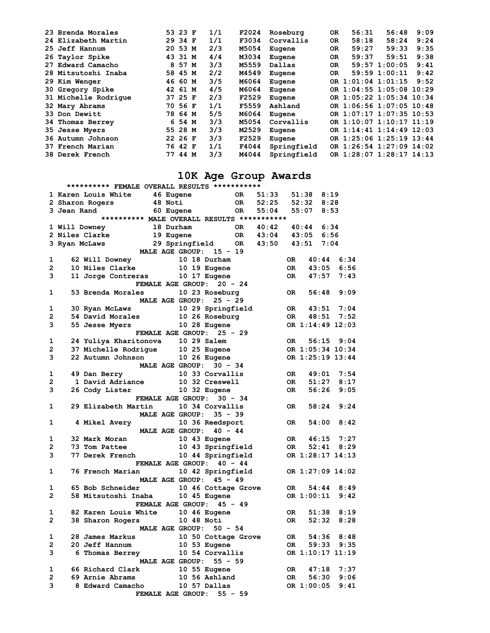| 23 Brenda Morales      | 53 23 F | 1/1 | F2024 | Roseburg    | <b>OR</b> | 56:31              | 56:48                    | 9:09 |
|------------------------|---------|-----|-------|-------------|-----------|--------------------|--------------------------|------|
| 24 Elizabeth Martin    | 29 34 F | 1/1 | F3034 | Corvallis   | <b>OR</b> | 58:18              | 58:24                    | 9:24 |
| 25 Jeff Hannum         | 20 53 M | 2/3 | M5054 | Eugene      | <b>OR</b> | 59:27              | 59:33                    | 9:35 |
| 26 Taylor Spike        | 43 31 M | 4/4 | M3034 | Eugene      | <b>OR</b> | 59:37              | 59:51                    | 9:38 |
| 27 Edward Camacho      | 8 57 M  | 3/3 | M5559 | Dallas      | OR.       |                    | $59:57$ 1:00:05          | 9:41 |
| 28 Mitsutoshi Inaba    | 58 45 M | 2/2 | M4549 | Eugene      | OR.       |                    | $59:59$ $1:00:11$        | 9:42 |
| 29 Kim Wenger          | 46 60 M | 3/5 | M6064 | Eugene      |           | OR 1:01:04 1:01:15 |                          | 9:52 |
| 30 Gregory Spike       | 42 61 M | 4/5 | M6064 | Eugene      |           |                    | OR 1:04:55 1:05:08 10:29 |      |
| 31 Michelle Rodrique   | 37 25 F | 2/3 | F2529 | Eugene      |           |                    | OR 1:05:22 1:05:34 10:34 |      |
| 32 Mary Abrams         | 70 56 F | 1/1 | F5559 | Ashland     |           |                    | OR 1:06:56 1:07:05 10:48 |      |
| 33 Don Dewitt          | 78 64 M | 5/5 | M6064 | Eugene      |           |                    | OR 1:07:17 1:07:35 10:53 |      |
| 34 Thomas Berrey       | 6 54 M  | 3/3 | M5054 | Corvallis   |           |                    | OR 1:10:07 1:10:17 11:19 |      |
| 35 Jesse Myers         | 55 28 M | 3/3 | M2529 | Eugene      |           |                    | OR 1:14:41 1:14:49 12:03 |      |
| 36 Autumn Johnson      | 22 26 F | 3/3 | F2529 | Eugene      |           |                    | OR 1:25:06 1:25:19 13:44 |      |
| 37 French Marian       | 76 42 F | 1/1 | F4044 | Springfield |           |                    | OR 1:26:54 1:27:09 14:02 |      |
| <b>38 Derek French</b> | 77 44 M | 3/3 | M4044 | Springfield |           |                    | OR 1:28:07 1:28:17 14:13 |      |

## **10K Age Group Awards**

|                | ********** FEMALE OVERALL RESULTS ***********                                                                                                   |                                                               |  |                     |           |          |           |                |  |                  |  |
|----------------|-------------------------------------------------------------------------------------------------------------------------------------------------|---------------------------------------------------------------|--|---------------------|-----------|----------|-----------|----------------|--|------------------|--|
|                | 1 Karen Louis White 46 Eugene OR 51:33                                                                                                          |                                                               |  |                     |           |          |           | $51:38$ $8:19$ |  |                  |  |
|                | 2 Sharon Rogers                                                                                                                                 | 48 Noti                                                       |  |                     |           | OR 52:25 |           | $52:32$ $8:28$ |  |                  |  |
|                | 3 Jean Rand 60 Eugene 60 R 55:04 55:07 8:53                                                                                                     |                                                               |  |                     |           |          |           |                |  |                  |  |
|                |                                                                                                                                                 | ********** MALE OVERALL RESULTS ***********                   |  |                     |           |          |           |                |  |                  |  |
|                |                                                                                                                                                 |                                                               |  |                     |           |          |           |                |  |                  |  |
|                |                                                                                                                                                 |                                                               |  |                     |           |          |           |                |  |                  |  |
|                | 3 Ryan McLaws                                                                                                                                   |                                                               |  |                     |           |          |           |                |  |                  |  |
|                |                                                                                                                                                 | 29 Springfield OR 43:50 43:51 7:04<br>MALE AGE GROUP: 15 - 19 |  |                     |           |          |           |                |  |                  |  |
| 1              |                                                                                                                                                 |                                                               |  |                     |           |          | OR DR     | 40:44          |  | 6:34             |  |
| $2^{\circ}$    | 62 Will Downey 10 18 Durham<br>10 Niles Clarke 10 19 Eugene                                                                                     |                                                               |  |                     |           |          | OR        | 43:05          |  | 6:56             |  |
| 3              | 11 Jorge Contreras 10 17 Eugene                                                                                                                 |                                                               |  |                     |           |          |           | OR 47:57       |  | 7:43             |  |
|                |                                                                                                                                                 | FEMALE AGE GROUP: 20 - 24                                     |  |                     |           |          |           |                |  |                  |  |
| $\mathbf{1}$   | 53 Brenda Morales 10 23 Roseburg                                                                                                                |                                                               |  |                     |           |          |           |                |  | OR 56:48 9:09    |  |
|                |                                                                                                                                                 | MALE AGE GROUP: 25 - 29                                       |  |                     |           |          |           |                |  |                  |  |
| 1              |                                                                                                                                                 |                                                               |  |                     |           |          |           |                |  | OR 43:51 7:04    |  |
| $\mathbf{2}$   |                                                                                                                                                 |                                                               |  |                     |           |          |           |                |  | OR  48:51  7:52  |  |
| 3              | 30 Ryan McLaws 10 29 Springfield<br>54 David Morales 10 26 Roseburg<br>55 Jesse Myers 10 28 Eugene                                              |                                                               |  |                     |           |          |           |                |  | OR 1:14:49 12:03 |  |
|                |                                                                                                                                                 | <b>FEMALE AGE GROUP:</b>                                      |  |                     | $25 - 29$ |          |           |                |  |                  |  |
| $\mathbf{1}$   | 24 Yuliya Kharitonova 10 29 Salem                                                                                                               |                                                               |  |                     |           |          |           |                |  | OR 56:15 9:04    |  |
| $2^{\circ}$    |                                                                                                                                                 |                                                               |  |                     |           |          |           |                |  | OR 1:05:34 10:34 |  |
| 3              |                                                                                                                                                 |                                                               |  |                     |           |          |           |                |  | OR 1:25:19 13:44 |  |
|                | 37 Michelle Rodrigue 10 25 Eugene<br>22 Autumn Johnson 10 26 Eugene<br>MALE AGE GROUP: 30 - 34                                                  |                                                               |  |                     |           |          |           |                |  |                  |  |
| $\mathbf{1}$   | 49 Dan Berry                                                                                                                                    | 10 33 Corvallis                                               |  |                     |           |          |           |                |  | OR 49:01 7:54    |  |
| $\overline{2}$ |                                                                                                                                                 |                                                               |  |                     |           |          | OR        |                |  | $51:27$ $8:17$   |  |
|                | 1 David Adriance 10 32 Creswell<br>26 Cody Lister 10 32 Eugene<br>$3^{\circ}$                                                                   |                                                               |  |                     |           |          |           | OR 56:26       |  | 9:05             |  |
|                |                                                                                                                                                 | FEMALE AGE GROUP: 30 - 34                                     |  |                     |           |          |           |                |  |                  |  |
|                | $1 \quad \blacksquare$<br>29 Elizabeth Martin                                                                                                   |                                                               |  | 10 34 Corvallis     |           |          | OR DR     |                |  | $58:24$ $9:24$   |  |
|                |                                                                                                                                                 | MALE AGE GROUP: 35 - 39                                       |  |                     |           |          |           |                |  |                  |  |
| 1              | <b>4 Mikel Avery</b>                                                                                                                            |                                                               |  | 10 36 Reedsport     |           |          | OR DR     |                |  | $54:00$ 8:42     |  |
|                |                                                                                                                                                 | MALE AGE GROUP: 40 - 44                                       |  |                     |           |          |           |                |  |                  |  |
| 1              |                                                                                                                                                 |                                                               |  |                     |           |          |           |                |  |                  |  |
| $\overline{2}$ |                                                                                                                                                 |                                                               |  |                     |           |          |           |                |  |                  |  |
| 3              | 32 Mark Moran 10 43 Eugene 0R 16:15 7:27<br>73 Tom Pattee 10 43 Springfield 0R 52:41 8:29<br>77 Derek French 10 44 Springfield 0R 1:28:17 14:13 |                                                               |  |                     |           |          |           |                |  |                  |  |
|                |                                                                                                                                                 | FEMALE AGE GROUP: 40 - 44                                     |  |                     |           |          |           |                |  |                  |  |
| $\mathbf{1}$   | 76 French Marian 10 42 Springfield                                                                                                              |                                                               |  |                     |           |          |           |                |  | OR 1:27:09 14:02 |  |
|                |                                                                                                                                                 | MALE AGE GROUP: 45 - 49                                       |  |                     |           |          |           |                |  |                  |  |
| $\mathbf{1}$   | 65 Bob Schneider                                                                                                                                |                                                               |  | 10 46 Cottage Grove |           |          |           |                |  | OR 54:44 8:49    |  |
| $\overline{2}$ |                                                                                                                                                 |                                                               |  |                     |           |          |           | OR 1:00:11     |  | 9:42             |  |
|                |                                                                                                                                                 | FEMALE AGE GROUP: 45 - 49                                     |  |                     |           |          |           |                |  |                  |  |
| 1              | 82 Karen Louis White 10 46 Eugene                                                                                                               |                                                               |  |                     |           |          | OR DR     | 51:38          |  | 8:19             |  |
| $\overline{2}$ | 38 Sharon Rogers                                                                                                                                |                                                               |  | 10 48 Noti          |           |          | OR DR     | 52:32          |  | 8:28             |  |
|                |                                                                                                                                                 | MALE AGE GROUP: 50 - 54                                       |  |                     |           |          |           |                |  |                  |  |
| $\mathbf{1}$   | 28 James Markus 10 50 Cottage Grove<br>20 Jeff Hannum 10 53 Eugene<br>6 Thomas Berrey 10 54 Corvallis                                           |                                                               |  |                     |           |          | OR        |                |  | 54:36 8:48       |  |
| $\overline{2}$ |                                                                                                                                                 |                                                               |  |                     |           |          | <b>OR</b> | 59:33          |  | 9:35             |  |
| 3              |                                                                                                                                                 |                                                               |  |                     |           |          |           |                |  | OR 1:10:17 11:19 |  |
|                |                                                                                                                                                 | MALE AGE GROUP: 55 - 59                                       |  |                     |           |          |           |                |  |                  |  |
| $\mathbf{1}$   | 66 Richard Clark 10 55 Eugene<br>69 Arnie Abrams 10 56 Ashland<br>8 Edward Camacho 10 57 Dallas<br>66 Richard Clark                             |                                                               |  |                     |           |          | OR        | 47:18          |  | 7:37             |  |
| $\mathbf{2}$   |                                                                                                                                                 |                                                               |  |                     |           |          | OR        |                |  | $56:30$ $9:06$   |  |
| 3              |                                                                                                                                                 |                                                               |  |                     |           |          |           | OR 1:00:05     |  | 9:41             |  |
|                |                                                                                                                                                 | FEMALE AGE GROUP: 55 - 59                                     |  |                     |           |          |           |                |  |                  |  |